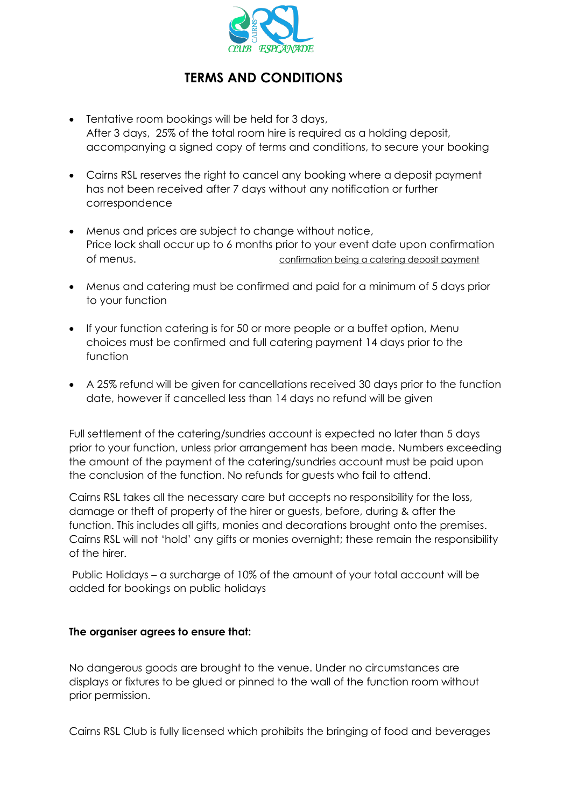

## **TERMS AND CONDITIONS**

- Tentative room bookings will be held for 3 days, After 3 days, 25% of the total room hire is required as a holding deposit, accompanying a signed copy of terms and conditions, to secure your booking
- Cairns RSL reserves the right to cancel any booking where a deposit payment has not been received after 7 days without any notification or further correspondence
- Menus and prices are subject to change without notice, Price lock shall occur up to 6 months prior to your event date upon confirmation of menus. confirmation being a catering deposit payment
- Menus and catering must be confirmed and paid for a minimum of 5 days prior to your function
- If your function catering is for 50 or more people or a buffet option, Menu choices must be confirmed and full catering payment 14 days prior to the function
- A 25% refund will be given for cancellations received 30 days prior to the function date, however if cancelled less than 14 days no refund will be given

Full settlement of the catering/sundries account is expected no later than 5 days prior to your function, unless prior arrangement has been made. Numbers exceeding the amount of the payment of the catering/sundries account must be paid upon the conclusion of the function. No refunds for guests who fail to attend.

Cairns RSL takes all the necessary care but accepts no responsibility for the loss, damage or theft of property of the hirer or guests, before, during & after the function. This includes all gifts, monies and decorations brought onto the premises. Cairns RSL will not 'hold' any gifts or monies overnight; these remain the responsibility of the hirer.

Public Holidays – a surcharge of 10% of the amount of your total account will be added for bookings on public holidays

## **The organiser agrees to ensure that:**

No dangerous goods are brought to the venue. Under no circumstances are displays or fixtures to be glued or pinned to the wall of the function room without prior permission.

Cairns RSL Club is fully licensed which prohibits the bringing of food and beverages